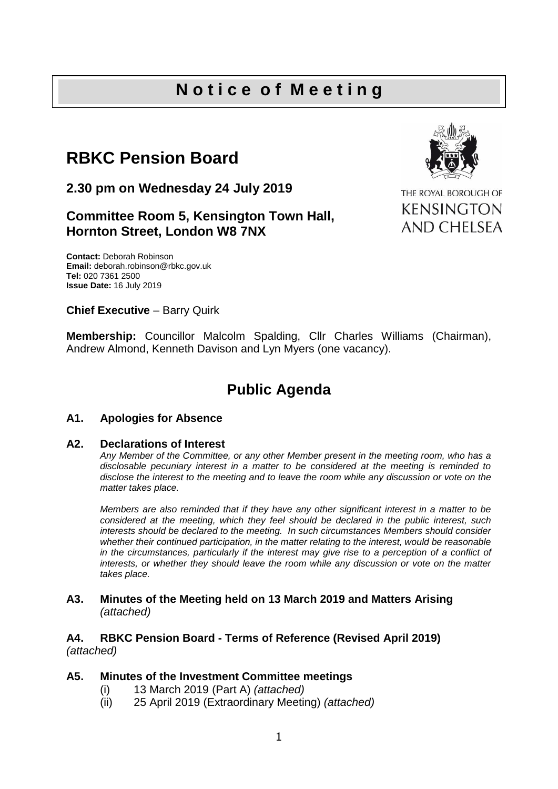## **N o t i c e o f M e e t i n g**

# **RBKC Pension Board**

**2.30 pm on Wednesday 24 July 2019**

### **Committee Room 5, Kensington Town Hall, Hornton Street, London W8 7NX**



THE ROYAL BOROUGH OF **KENSINGTON** AND CHELSEA

**Contact:** Deborah Robinson **Email:** deborah.robinson@rbkc.gov.uk **Tel:** 020 7361 2500 **Issue Date:** 16 July 2019

#### **Chief Executive - Barry Quirk**

**Membership:** Councillor Malcolm Spalding, Cllr Charles Williams (Chairman), Andrew Almond, Kenneth Davison and Lyn Myers (one vacancy).

### **Public Agenda**

#### **A1. Apologies for Absence**

#### **A2. Declarations of Interest**

*Any Member of the Committee, or any other Member present in the meeting room, who has a disclosable pecuniary interest in a matter to be considered at the meeting is reminded to disclose the interest to the meeting and to leave the room while any discussion or vote on the matter takes place.*

*Members are also reminded that if they have any other significant interest in a matter to be considered at the meeting, which they feel should be declared in the public interest, such interests should be declared to the meeting. In such circumstances Members should consider whether their continued participation, in the matter relating to the interest, would be reasonable*  in the circumstances, particularly if the interest may give rise to a perception of a conflict of *interests, or whether they should leave the room while any discussion or vote on the matter takes place.*

#### **A3. Minutes of the Meeting held on 13 March 2019 and Matters Arising** *(attached)*

#### **A4. RBKC Pension Board - Terms of Reference (Revised April 2019)** *(attached)*

#### **A5. Minutes of the Investment Committee meetings**

- (i) 13 March 2019 (Part A) *(attached)*
- (ii) 25 April 2019 (Extraordinary Meeting) *(attached)*